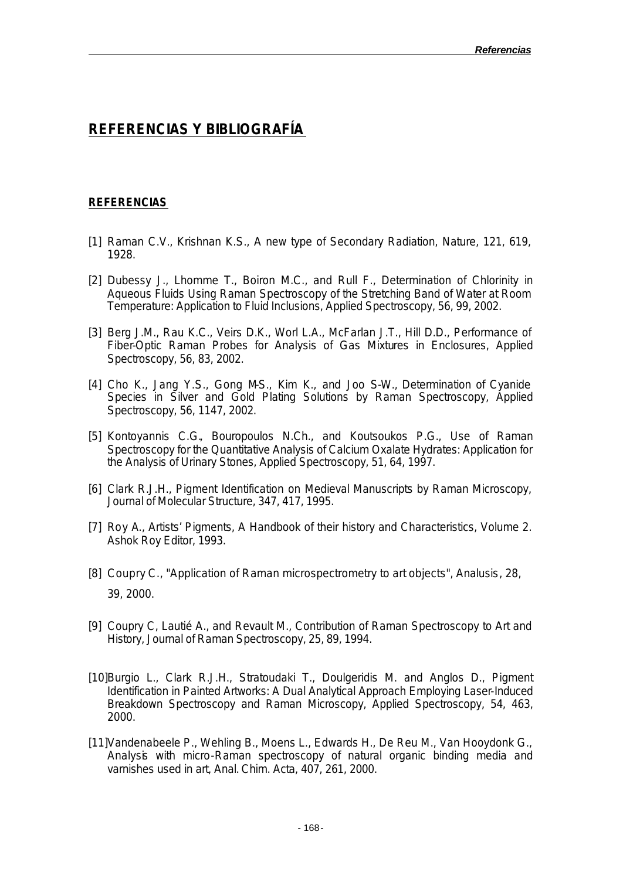## **REFERENCIAS Y BIBLIOGRAFÍA**

## **REFERENCIAS**

- [1] Raman C.V., Krishnan K.S., A new type of Secondary Radiation, Nature, 121, 619, 1928.
- [2] Dubessy J., Lhomme T., Boiron M.C., and Rull F., Determination of Chlorinity in Aqueous Fluids Using Raman Spectroscopy of the Stretching Band of Water at Room Temperature: Application to Fluid Inclusions, Applied Spectroscopy, 56, 99, 2002.
- [3] Berg J.M., Rau K.C., Veirs D.K., Worl L.A., McFarlan J.T., Hill D.D., Performance of Fiber-Optic Raman Probes for Analysis of Gas Mixtures in Enclosures, Applied Spectroscopy, 56, 83, 2002.
- [4] Cho K., Jang Y.S., Gong M-S., Kim K., and Joo S-W., Determination of Cyanide Species in Silver and Gold Plating Solutions by Raman Spectroscopy, Applied Spectroscopy, 56, 1147, 2002.
- [5] Kontoyannis C.G., Bouropoulos N.Ch., and Koutsoukos P.G., Use of Raman Spectroscopy for the Quantitative Analysis of Calcium Oxalate Hydrates: Application for the Analysis of Urinary Stones, Applied Spectroscopy, 51, 64, 1997.
- [6] Clark R.J.H., Pigment Identification on Medieval Manuscripts by Raman Microscopy, Journal of Molecular Structure, 347, 417, 1995.
- [7] Roy A., Artists' Pigments, A Handbook of their history and Characteristics, Volume 2. Ashok Roy Editor, 1993.
- [8] Coupry C., "Application of Raman microspectrometry to art objects", Analusis, 28, 39, 2000.
- [9] Coupry C, Lautié A., and Revault M., Contribution of Raman Spectroscopy to Art and History, Journal of Raman Spectroscopy, 25, 89, 1994.
- [10]Burgio L., Clark R.J.H., Stratoudaki T., Doulgeridis M. and Anglos D., Pigment Identification in Painted Artworks: A Dual Analytical Approach Employing Laser-Induced Breakdown Spectroscopy and Raman Microscopy, Applied Spectroscopy, 54, 463, 2000.
- [11]Vandenabeele P., Wehling B., Moens L., Edwards H., De Reu M., Van Hooydonk G., Analysis with micro-Raman spectroscopy of natural organic binding media and varnishes used in art, Anal. Chim. Acta, 407, 261, 2000.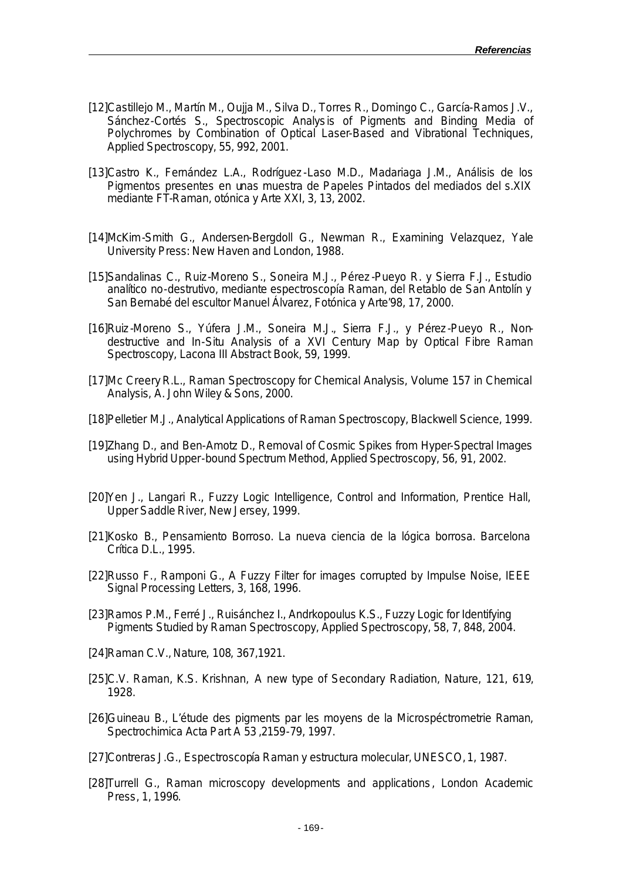- [12]Castillejo M., Martín M., Oujja M., Silva D., Torres R., Domingo C., García-Ramos J.V., Sánchez-Cortés S., Spectroscopic Analysis of Pigments and Binding Media of Polychromes by Combination of Optical Laser-Based and Vibrational Techniques, Applied Spectroscopy, 55, 992, 2001.
- [13]Castro K., Fernández L.A., Rodríguez-Laso M.D., Madariaga J.M., Análisis de los Pigmentos presentes en unas muestra de Papeles Pintados del mediados del s.XIX mediante FT-Raman, otónica y Arte XXI, 3, 13, 2002.
- [14]McKim-Smith G., Andersen-Bergdoll G., Newman R., Examining Velazquez, Yale University Press: New Haven and London, 1988.
- [15]Sandalinas C., Ruiz-Moreno S., Soneira M.J., Pérez-Pueyo R. y Sierra F.J., Estudio analítico no-destrutivo, mediante espectroscopía Raman, del Retablo de San Antolín y San Bernabé del escultor Manuel Álvarez, Fotónica y Arte'98, 17, 2000.
- [16]Ruiz-Moreno S., Yúfera J.M., Soneira M.J., Sierra F.J., y Pérez-Pueyo R., Nondestructive and In-Situ Analysis of a XVI Century Map by Optical Fibre Raman Spectroscopy, Lacona III Abstract Book, 59, 1999.
- [17]Mc Creery R.L., Raman Spectroscopy for Chemical Analysis, Volume 157 in Chemical Analysis, A. John Wiley & Sons, 2000.
- [18]Pelletier M.J., Analytical Applications of Raman Spectroscopy, Blackwell Science, 1999.
- [19]Zhang D., and Ben-Amotz D., Removal of Cosmic Spikes from Hyper-Spectral Images using Hybrid Upper-bound Spectrum Method, Applied Spectroscopy, 56, 91, 2002.
- [20]Yen J., Langari R., Fuzzy Logic Intelligence, Control and Information, Prentice Hall, Upper Saddle River, New Jersey, 1999.
- [21]Kosko B., Pensamiento Borroso. La nueva ciencia de la lógica borrosa. Barcelona Crítica D.L., 1995.
- [22]Russo F., Ramponi G., A Fuzzy Filter for images corrupted by Impulse Noise, IEEE Signal Processing Letters, 3, 168, 1996.
- [23]Ramos P.M., Ferré J., Ruisánchez I., Andrkopoulus K.S., Fuzzy Logic for Identifying Pigments Studied by Raman Spectroscopy, Applied Spectroscopy, 58, 7, 848, 2004.
- [24]Raman C.V., Nature, 108, 367,1921.
- [25]C.V. Raman, K.S. Krishnan, A new type of Secondary Radiation, Nature, 121, 619, 1928.
- [26]Guineau B., L'étude des pigments par les moyens de la Microspéctrometrie Raman, Spectrochimica Acta Part A 53 ,2159-79, 1997.
- [27]Contreras J.G., Espectroscopía Raman y estructura molecular, UNESCO, 1, 1987.
- [28]Turrell G., Raman microscopy developments and applications, London Academic Press, 1, 1996.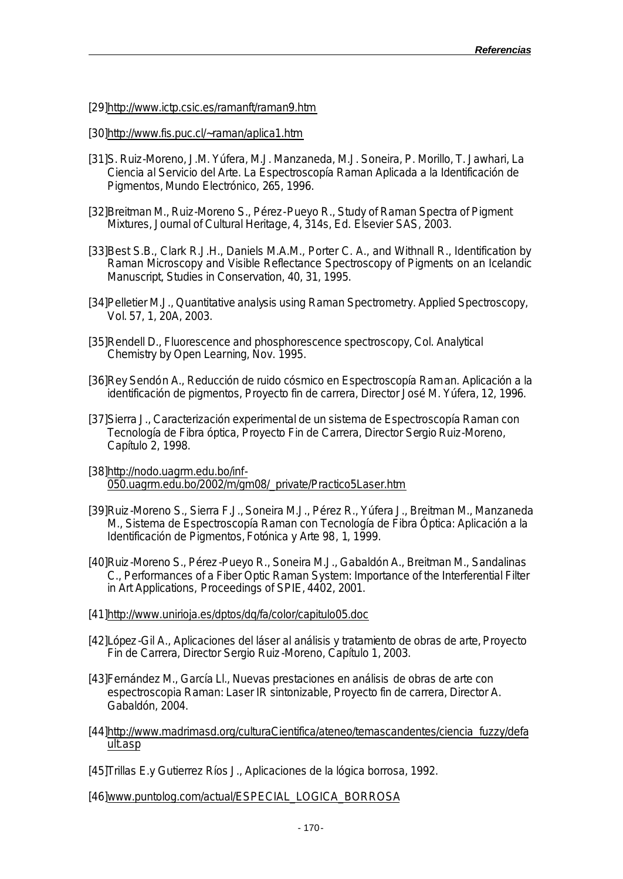[29]http://www.ictp.csic.es/ramanft/raman9.htm

[30]http://www.fis.puc.cl/~raman/aplica1.htm

- [31]S. Ruiz-Moreno, J.M. Yúfera, M.J. Manzaneda, M.J. Soneira, P. Morillo, T. Jawhari, La Ciencia al Servicio del Arte. La Espectroscopía Raman Aplicada a la Identificación de Pigmentos, Mundo Electrónico, 265, 1996.
- [32]Breitman M., Ruiz-Moreno S., Pérez-Pueyo R., Study of Raman Spectra of Pigment Mixtures, Journal of Cultural Heritage, 4, 314s, Ed. Elsevier SAS, 2003.
- [33]Best S.B., Clark R.J.H., Daniels M.A.M., Porter C. A., and Withnall R., Identification by Raman Microscopy and Visible Reflectance Spectroscopy of Pigments on an Icelandic Manuscript, Studies in Conservation, 40, 31, 1995.
- [34]Pelletier M.J., Quantitative analysis using Raman Spectrometry. Applied Spectroscopy, Vol. 57, 1, 20A, 2003.
- [35]Rendell D., Fluorescence and phosphorescence spectroscopy, Col. Analytical Chemistry by Open Learning, Nov. 1995.
- [36]Rey Sendón A., Reducción de ruido cósmico en Espectroscopía Raman. Aplicación a la identificación de pigmentos, Proyecto fin de carrera, Director José M. Yúfera, 12, 1996.
- [37]Sierra J., Caracterización experimental de un sistema de Espectroscopía Raman con Tecnología de Fibra óptica, Proyecto Fin de Carrera, Director Sergio Ruiz-Moreno, Capítulo 2, 1998.
- [38]http://nodo.uagrm.edu.bo/inf-050.uagrm.edu.bo/2002/m/gm08/\_private/Practico5Laser.htm
- [39]Ruiz-Moreno S., Sierra F.J., Soneira M.J., Pérez R., Yúfera J., Breitman M., Manzaneda M., Sistema de Espectroscopía Raman con Tecnología de Fibra Óptica: Aplicación a la Identificación de Pigmentos, Fotónica y Arte 98, 1, 1999.
- [40]Ruiz-Moreno S., Pérez-Pueyo R., Soneira M.J., Gabaldón A., Breitman M., Sandalinas C., Performances of a Fiber Optic Raman System: Importance of the Interferential Filter in Art Applications, Proceedings of SPIE, 4402, 2001.
- [41]http://www.unirioja.es/dptos/dq/fa/color/capitulo05.doc
- [42]López-Gil A., Aplicaciones del láser al análisis y tratamiento de obras de arte, Proyecto Fin de Carrera, Director Sergio Ruiz-Moreno, Capítulo 1, 2003.
- [43]Fernández M., García Ll., Nuevas prestaciones en análisis de obras de arte con espectroscopia Raman: Laser IR sintonizable, Proyecto fin de carrera, Director A. Gabaldón, 2004.
- [44]http://www.madrimasd.org/culturaCientifica/ateneo/temascandentes/ciencia\_fuzzy/defa ult.asp
- [45]Trillas E.y Gutierrez Ríos J., Aplicaciones de la lógica borrosa, 1992.

[46]www.puntolog.com/actual/ESPECIAL\_LOGICA\_BORROSA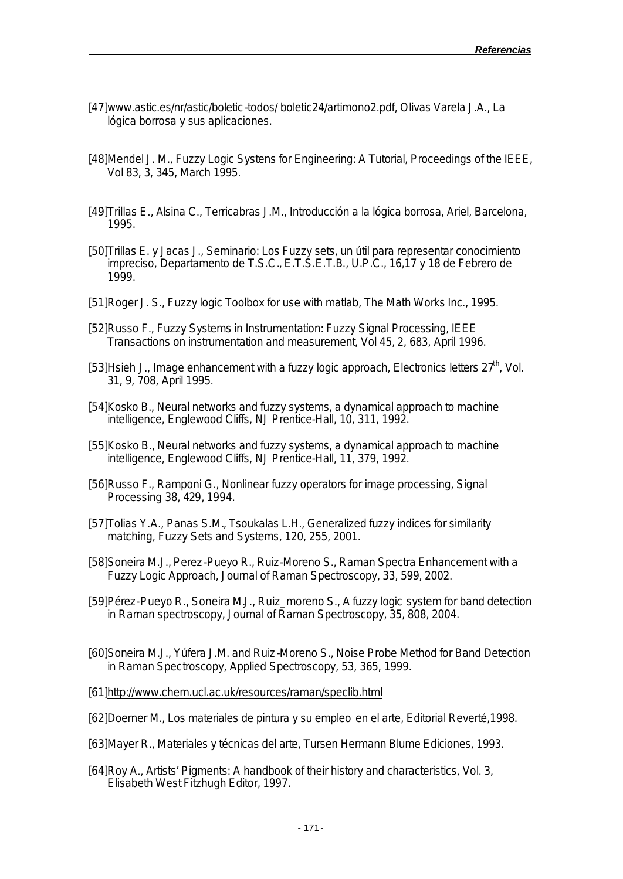- [47]www.astic.es/nr/astic/boletic-todos/ boletic24/artimono2.pdf, Olivas Varela J.A., La lógica borrosa y sus aplicaciones.
- [48]Mendel J. M., Fuzzy Logic Systens for Engineering: A Tutorial, Proceedings of the IEEE, Vol 83, 3, 345, March 1995.
- [49]Trillas E., Alsina C., Terricabras J.M., Introducción a la lógica borrosa, Ariel, Barcelona, 1995.
- [50]Trillas E. y Jacas J., Seminario: Los Fuzzy sets, un útil para representar conocimiento impreciso, Departamento de T.S.C., E.T.S.E.T.B., U.P.C., 16,17 y 18 de Febrero de 1999.
- [51]Roger J. S., Fuzzy logic Toolbox for use with matlab, The Math Works Inc., 1995.
- [52]Russo F., Fuzzy Systems in Instrumentation: Fuzzy Signal Processing, IEEE Transactions on instrumentation and measurement, Vol 45, 2, 683, April 1996.
- [53]Hsieh J., Image enhancement with a fuzzy logic approach, Electronics letters  $27<sup>th</sup>$ , Vol. 31, 9, 708, April 1995.
- [54]Kosko B., Neural networks and fuzzy systems, a dynamical approach to machine intelligence, Englewood Cliffs, NJ Prentice-Hall, 10, 311, 1992.
- [55]Kosko B., Neural networks and fuzzy systems, a dynamical approach to machine intelligence, Englewood Cliffs, NJ Prentice-Hall, 11, 379, 1992.
- [56]Russo F., Ramponi G., Nonlinear fuzzy operators for image processing, Signal Processing 38, 429, 1994.
- [57]Tolias Y.A., Panas S.M., Tsoukalas L.H., Generalized fuzzy indices for similarity matching, Fuzzy Sets and Systems, 120, 255, 2001.
- [58]Soneira M.J., Perez-Pueyo R., Ruiz-Moreno S., Raman Spectra Enhancement with a Fuzzy Logic Approach, Journal of Raman Spectroscopy, 33, 599, 2002.
- [59]Pérez-Pueyo R., Soneira M.J., Ruiz\_moreno S., A fuzzy logic system for band detection in Raman spectroscopy, Journal of Raman Spectroscopy, 35, 808, 2004.
- [60]Soneira M.J., Yúfera J.M. and Ruiz-Moreno S., Noise Probe Method for Band Detection in Raman Spectroscopy, Applied Spectroscopy, 53, 365, 1999.

[61]http://www.chem.ucl.ac.uk/resources/raman/speclib.html

- [62]Doerner M., Los materiales de pintura y su empleo en el arte, Editorial Reverté,1998.
- [63]Mayer R., Materiales y técnicas del arte, Tursen Hermann Blume Ediciones, 1993.
- [64]Roy A., Artists' Pigments: A handbook of their history and characteristics, Vol. 3, Elisabeth West Fitzhugh Editor, 1997.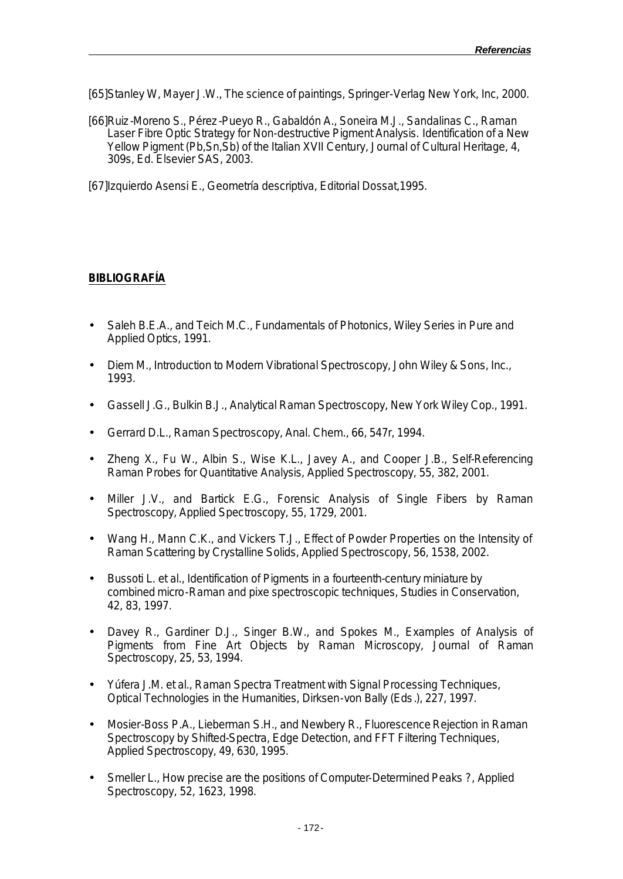[65]Stanley W, Mayer J.W., The science of paintings, Springer-Verlag New York, Inc, 2000.

- [66]Ruiz-Moreno S., Pérez-Pueyo R., Gabaldón A., Soneira M.J., Sandalinas C., Raman Laser Fibre Optic Strategy for Non-destructive Pigment Analysis. Identification of a New Yellow Pigment (Pb,Sn,Sb) of the Italian XVII Century, Journal of Cultural Heritage, 4, 309s, Ed. Elsevier SAS, 2003.
- [67]Izquierdo Asensi E., Geometría descriptiva, Editorial Dossat,1995.

## **BIBLIOGRAFÍA**

- Saleh B.E.A., and Teich M.C., Fundamentals of Photonics, Wiley Series in Pure and Applied Optics, 1991.
- Diem M., Introduction to Modern Vibrational Spectroscopy, John Wiley & Sons, Inc., 1993.
- Gassell J.G., Bulkin B.J., Analytical Raman Spectroscopy, New York Wiley Cop., 1991.
- Gerrard D.L., Raman Spectroscopy, Anal. Chem., 66, 547r, 1994.
- Zheng X., Fu W., Albin S., Wise K.L., Javey A., and Cooper J.B., Self-Referencing Raman Probes for Quantitative Analysis, Applied Spectroscopy, 55, 382, 2001.
- Miller J.V., and Bartick E.G., Forensic Analysis of Single Fibers by Raman Spectroscopy, Applied Spectroscopy, 55, 1729, 2001.
- Wang H., Mann C.K., and Vickers T.J., Effect of Powder Properties on the Intensity of Raman Scattering by Crystalline Solids, Applied Spectroscopy, 56, 1538, 2002.
- Bussoti L. et al., Identification of Pigments in a fourteenth-century miniature by combined micro-Raman and pixe spectroscopic techniques, Studies in Conservation, 42, 83, 1997.
- Davey R., Gardiner D.J., Singer B.W., and Spokes M., Examples of Analysis of Pigments from Fine Art Objects by Raman Microscopy, Journal of Raman Spectroscopy, 25, 53, 1994.
- Yúfera J.M. et al., Raman Spectra Treatment with Signal Processing Techniques, Optical Technologies in the Humanities, Dirksen-von Bally (Eds.), 227, 1997.
- Mosier-Boss P.A., Lieberman S.H., and Newbery R., Fluorescence Rejection in Raman Spectroscopy by Shifted-Spectra, Edge Detection, and FFT Filtering Techniques, Applied Spectroscopy, 49, 630, 1995.
- Smeller L., How precise are the positions of Computer-Determined Peaks ?, Applied Spectroscopy, 52, 1623, 1998.